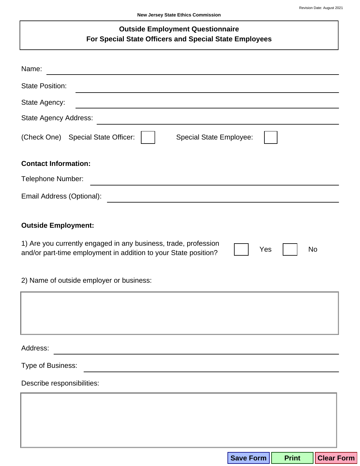## **Outside Employment Questionnaire** For Special State Officers and Special State Employees

| Name:                                                                                                                                                                                                                                                   |
|---------------------------------------------------------------------------------------------------------------------------------------------------------------------------------------------------------------------------------------------------------|
| <b>State Position:</b><br>the control of the control of the control of the control of the control of the control of the control of the control of the control of the control of the control of the control of the control of the control of the control |
| State Agency:<br>and the state of the state of the state of the state of the state of the state of the state of the state of the                                                                                                                        |
| <b>State Agency Address:</b>                                                                                                                                                                                                                            |
| (Check One) Special State Officer:<br><b>Special State Employee:</b>                                                                                                                                                                                    |
| <b>Contact Information:</b>                                                                                                                                                                                                                             |
| Telephone Number:                                                                                                                                                                                                                                       |
| Email Address (Optional):                                                                                                                                                                                                                               |
| <b>Outside Employment:</b><br>1) Are you currently engaged in any business, trade, profession<br>Yes<br><b>No</b><br>and/or part-time employment in addition to your State position?                                                                    |
| 2) Name of outside employer or business:                                                                                                                                                                                                                |
|                                                                                                                                                                                                                                                         |
| Address:                                                                                                                                                                                                                                                |
| Type of Business:                                                                                                                                                                                                                                       |
| Describe responsibilities:                                                                                                                                                                                                                              |
|                                                                                                                                                                                                                                                         |
|                                                                                                                                                                                                                                                         |
|                                                                                                                                                                                                                                                         |
| Save Form<br><b>Clear Form</b><br><b>Print</b>                                                                                                                                                                                                          |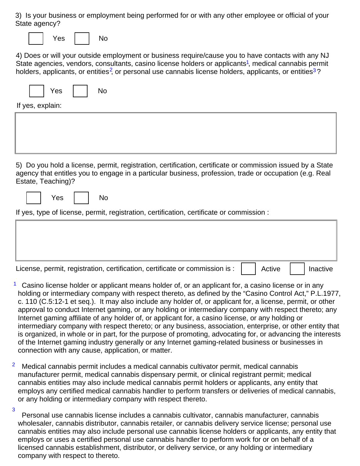3) Is your business or employment being performed for or with any other employee or official of your State agency?

|--|--|--|

 $No$ 

**No** 

4) Does or will your outside employment or business require/cause you to have contacts with any NJ State agencies, vendors, consultants, casino license holders or applicants<sup>1</sup>, medical cannabis permit holders, applicants, or entities<sup>2</sup>, or personal use cannabis license holders, applicants, or entities<sup>3</sup>?

| Yes. |  | Nc |
|------|--|----|
|------|--|----|

If yes, explain:

5) Do you hold a license, permit, registration, certification, certificate or commission issued by a State agency that entitles you to engage in a particular business, profession, trade or occupation (e.g. Real Estate, Teaching)?

Yes

If yes, type of license, permit, registration, certification, certificate or commission :

| License, permit, registration, certification, certificate or commission is : | Active | Inactive |
|------------------------------------------------------------------------------|--------|----------|

- $1$  Casino license holder or applicant means holder of, or an applicant for, a casino license or in any holding or intermediary company with respect thereto, as defined by the "Casino Control Act," P.L.1977, c. 110 (C.5:12-1 et seg.). It may also include any holder of, or applicant for, a license, permit, or other approval to conduct Internet gaming, or any holding or intermediary company with respect thereto; any Internet gaming affiliate of any holder of, or applicant for, a casino license, or any holding or intermediary company with respect thereto; or any business, association, enterprise, or other entity that is organized, in whole or in part, for the purpose of promoting, advocating for, or advancing the interests of the Internet gaming industry generally or any Internet gaming-related business or businesses in connection with any cause, application, or matter.
- $\overline{2}$ Medical cannabis permit includes a medical cannabis cultivator permit, medical cannabis manufacturer permit, medical cannabis dispensary permit, or clinical registrant permit; medical cannabis entities may also include medical cannabis permit holders or applicants, any entity that employs any certified medical cannabis handler to perform transfers or deliveries of medical cannabis, or any holding or intermediary company with respect thereto.
- 3 Personal use cannabis license includes a cannabis cultivator, cannabis manufacturer, cannabis wholesaler, cannabis distributor, cannabis retailer, or cannabis delivery service license; personal use cannabis entities may also include personal use cannabis license holders or applicants, any entity that employs or uses a certified personal use cannabis handler to perform work for or on behalf of a licensed cannabis establishment, distributor, or delivery service, or any holding or intermediary company with respect to thereto.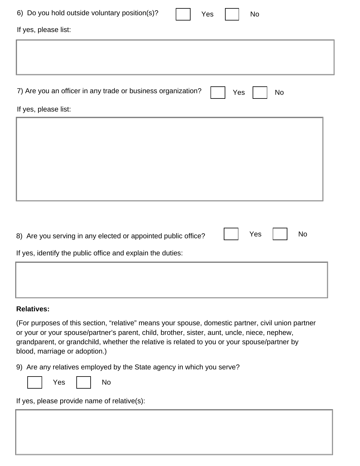| 6) Do you hold outside voluntary position(s)?<br><b>No</b><br>Yes                 |  |  |  |  |
|-----------------------------------------------------------------------------------|--|--|--|--|
| If yes, please list:                                                              |  |  |  |  |
|                                                                                   |  |  |  |  |
|                                                                                   |  |  |  |  |
| 7) Are you an officer in any trade or business organization?<br><b>No</b><br>Yes  |  |  |  |  |
| If yes, please list:                                                              |  |  |  |  |
|                                                                                   |  |  |  |  |
|                                                                                   |  |  |  |  |
|                                                                                   |  |  |  |  |
|                                                                                   |  |  |  |  |
|                                                                                   |  |  |  |  |
|                                                                                   |  |  |  |  |
|                                                                                   |  |  |  |  |
| <b>No</b><br>Yes<br>8) Are you serving in any elected or appointed public office? |  |  |  |  |
| If yes, identify the public office and explain the duties:                        |  |  |  |  |
|                                                                                   |  |  |  |  |
|                                                                                   |  |  |  |  |

## **Relatives:**

(For purposes of this section, "relative" means your spouse, domestic partner, civil union partner or your or your spouse/partner's parent, child, brother, sister, aunt, uncle, niece, nephew, grandparent, or grandchild, whether the relative is related to you or your spouse/partner by blood, marriage or adoption.)

9) Are any relatives employed by the State agency in which you serve?

If yes, please provide name of relative(s):